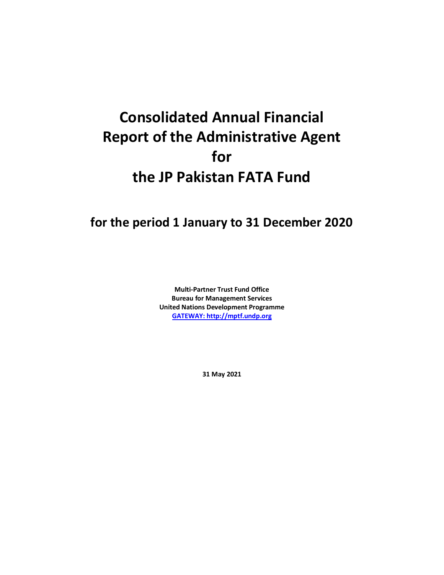## **Consolidated Annual Financial Report of the Administrative Agent for the JP Pakistan FATA Fund**

## **for the period 1 January to 31 December 2020**

**Multi-Partner Trust Fund Office Bureau for Management Services United Nations Development Programme [GATEWAY: http://mptf.undp.org](http://mptf.undp.org/)**

**31 May 2021**